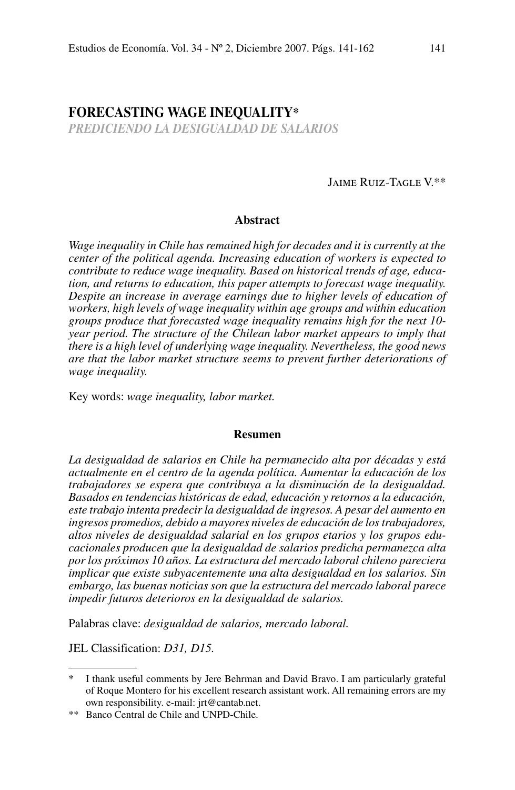# **Forecasting Wage Inequality\***

*PREDICIENDO LA DESIGUALDAD DE SALARIOS*

Jaime Ruiz-Tagle V.\*\*

## **Abstract**

*Wage inequality in Chile has remained high for decades and it is currently at the center of the political agenda. Increasing education of workers is expected to contribute to reduce wage inequality. Based on historical trends of age, education, and returns to education, this paper attempts to forecast wage inequality.*  Despite an increase in average earnings due to higher levels of education of *workers, high levels of wage inequality within age groups and within education groups produce that forecasted wage inequality remains high for the next 10 year period. The structure of the Chilean labor market appears to imply that there is a high level of underlying wage inequality. Nevertheless, the good news are that the labor market structure seems to prevent further deteriorations of wage inequality.*

Key words: *wage inequality, labor market.*

## **Resumen**

*La desigualdad de salarios en Chile ha permanecido alta por décadas y está actualmente en el centro de la agenda política. Aumentar la educación de los trabajadores se espera que contribuya a la disminución de la desigualdad. Basados en tendencias históricas de edad, educación y retornos a la educación, este trabajo intenta predecir la desigualdad de ingresos. A pesar del aumento en ingresos promedios, debido a mayores niveles de educación de los trabajadores, altos niveles de desigualdad salarial en los grupos etarios y los grupos educacionales producen que la desigualdad de salarios predicha permanezca alta por los próximos 10 años. La estructura del mercado laboral chileno pareciera implicar que existe subyacentemente una alta desigualdad en los salarios. Sin embargo, las buenas noticias son que la estructura del mercado laboral parece impedir futuros deterioros en la desigualdad de salarios.*

Palabras clave: *desigualdad de salarios, mercado laboral.*

JEL Classification: *D31, D15.*

I thank useful comments by Jere Behrman and David Bravo. I am particularly grateful of Roque Montero for his excellent research assistant work. All remaining errors are my own responsibility. e-mail: jrt@cantab.net.

<sup>\*\*</sup> Banco Central de Chile and UNPD-Chile.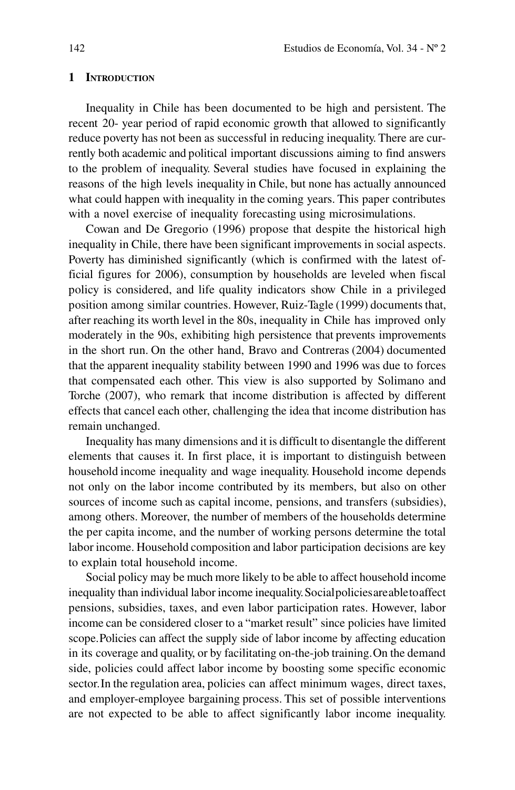#### **1 Introduction**

Inequality in Chile has been documented to be high and persistent. The recent 20- year period of rapid economic growth that allowed to significantly reduce poverty has not been as successful in reducing inequality. There are currently both academic and political important discussions aiming to find answers to the problem of inequality. Several studies have focused in explaining the reasons of the high levels inequality in Chile, but none has actually announced what could happen with inequality in the coming years. This paper contributes with a novel exercise of inequality forecasting using microsimulations.

Cowan and De Gregorio (1996) propose that despite the historical high inequality in Chile, there have been significant improvements in social aspects. Poverty has diminished significantly (which is confirmed with the latest official figures for 2006), consumption by households are leveled when fiscal policy is considered, and life quality indicators show Chile in a privileged position among similar countries. However, Ruiz-Tagle (1999) documents that, after reaching its worth level in the 80s, inequality in Chile has improved only moderately in the 90s, exhibiting high persistence that prevents improvements in the short run. On the other hand, Bravo and Contreras (2004) documented that the apparent inequality stability between 1990 and 1996 was due to forces that compensated each other. This view is also supported by Solimano and Torche (2007), who remark that income distribution is affected by different effects that cancel each other, challenging the idea that income distribution has remain unchanged.

Inequality has many dimensions and it is difficult to disentangle the different elements that causes it. In first place, it is important to distinguish between household income inequality and wage inequality. Household income depends not only on the labor income contributed by its members, but also on other sources of income such as capital income, pensions, and transfers (subsidies), among others. Moreover, the number of members of the households determine the per capita income, and the number of working persons determine the total labor income. Household composition and labor participation decisions are key to explain total household income.

Social policy may be much more likely to be able to affect household income inequality than individual labor income inequality. Social policies are able to affect pensions, subsidies, taxes, and even labor participation rates. However, labor income can be considered closer to a "market result" since policies have limited scope. Policies can affect the supply side of labor income by affecting education in its coverage and quality, or by facilitating on-the-job training. On the demand side, policies could affect labor income by boosting some specific economic sector. In the regulation area, policies can affect minimum wages, direct taxes, and employer-employee bargaining process. This set of possible interventions are not expected to be able to affect significantly labor income inequality.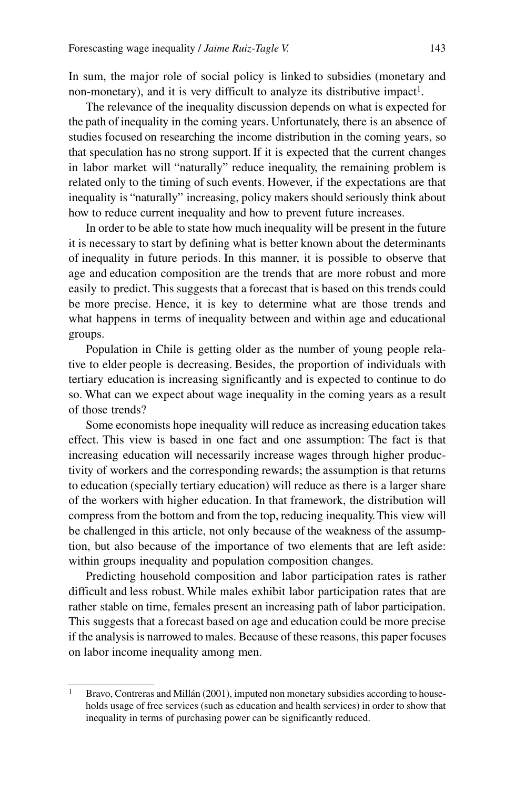In sum, the major role of social policy is linked to subsidies (monetary and non-monetary), and it is very difficult to analyze its distributive impact<sup>1</sup>.

The relevance of the inequality discussion depends on what is expected for the path of inequality in the coming years. Unfortunately, there is an absence of studies focused on researching the income distribution in the coming years, so that speculation has no strong support. If it is expected that the current changes in labor market will "naturally" reduce inequality, the remaining problem is related only to the timing of such events. However, if the expectations are that inequality is "naturally" increasing, policy makers should seriously think about how to reduce current inequality and how to prevent future increases.

In order to be able to state how much inequality will be present in the future it is necessary to start by defining what is better known about the determinants of inequality in future periods. In this manner, it is possible to observe that age and education composition are the trends that are more robust and more easily to predict. This suggests that a forecast that is based on this trends could be more precise. Hence, it is key to determine what are those trends and what happens in terms of inequality between and within age and educational groups.

Population in Chile is getting older as the number of young people relative to elder people is decreasing. Besides, the proportion of individuals with tertiary education is increasing significantly and is expected to continue to do so. What can we expect about wage inequality in the coming years as a result of those trends?

Some economists hope inequality will reduce as increasing education takes effect. This view is based in one fact and one assumption: The fact is that increasing education will necessarily increase wages through higher productivity of workers and the corresponding rewards; the assumption is that returns to education (specially tertiary education) will reduce as there is a larger share of the workers with higher education. In that framework, the distribution will compress from the bottom and from the top, reducing inequality. This view will be challenged in this article, not only because of the weakness of the assumption, but also because of the importance of two elements that are left aside: within groups inequality and population composition changes.

Predicting household composition and labor participation rates is rather difficult and less robust. While males exhibit labor participation rates that are rather stable on time, females present an increasing path of labor participation. This suggests that a forecast based on age and education could be more precise if the analysis is narrowed to males. Because of these reasons, this paper focuses on labor income inequality among men.

<sup>&</sup>lt;sup>1</sup> Bravo, Contreras and Millán (2001), imputed non monetary subsidies according to households usage of free services (such as education and health services) in order to show that inequality in terms of purchasing power can be significantly reduced.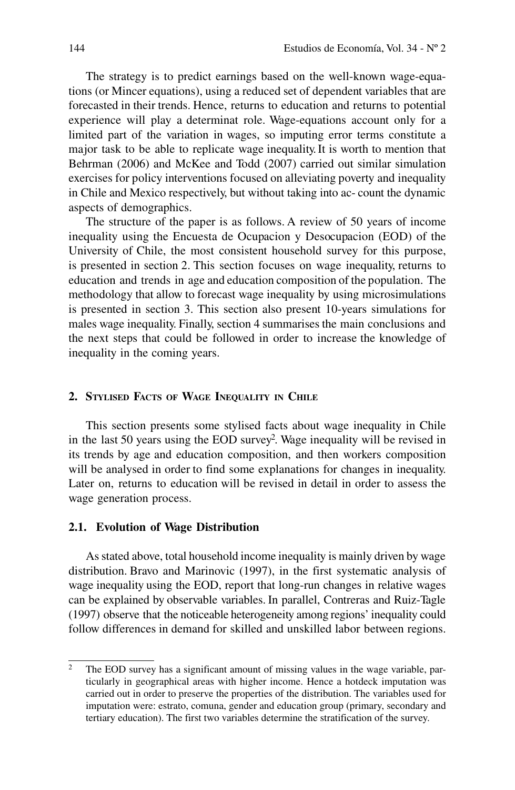The strategy is to predict earnings based on the well-known wage-equations (or Mincer equations), using a reduced set of dependent variables that are forecasted in their trends. Hence, returns to education and returns to potential experience will play a determinat role. Wage-equations account only for a limited part of the variation in wages, so imputing error terms constitute a major task to be able to replicate wage inequality. It is worth to mention that Behrman (2006) and McKee and Todd (2007) carried out similar simulation exercises for policy interventions focused on alleviating poverty and inequality in Chile and Mexico respectively, but without taking into ac- count the dynamic aspects of demographics.

The structure of the paper is as follows. A review of 50 years of income inequality using the Encuesta de Ocupacion y Desocupacion (EOD) of the University of Chile, the most consistent household survey for this purpose, is presented in section 2. This section focuses on wage inequality, returns to education and trends in age and education composition of the population. The methodology that allow to forecast wage inequality by using microsimulations is presented in section 3. This section also present 10-years simulations for males wage inequality. Finally, section 4 summarises the main conclusions and the next steps that could be followed in order to increase the knowledge of inequality in the coming years.

## **2. Stylised Facts of Wage Inequality in Chile**

This section presents some stylised facts about wage inequality in Chile in the last 50 years using the EOD survey2 . Wage inequality will be revised in its trends by age and education composition, and then workers composition will be analysed in order to find some explanations for changes in inequality. Later on, returns to education will be revised in detail in order to assess the wage generation process.

# **2.1. Evolution of Wage Distribution**

As stated above, total household income inequality is mainly driven by wage distribution. Bravo and Marinovic (1997), in the first systematic analysis of wage inequality using the EOD, report that long-run changes in relative wages can be explained by observable variables. In parallel, Contreras and Ruiz-Tagle (1997) observe that the noticeable heterogeneity among regions' inequality could follow differences in demand for skilled and unskilled labor between regions.

<sup>&</sup>lt;sup>2</sup> The EOD survey has a significant amount of missing values in the wage variable, particularly in geographical areas with higher income. Hence a hotdeck imputation was carried out in order to preserve the properties of the distribution. The variables used for imputation were: estrato, comuna, gender and education group (primary, secondary and tertiary education). The first two variables determine the stratification of the survey.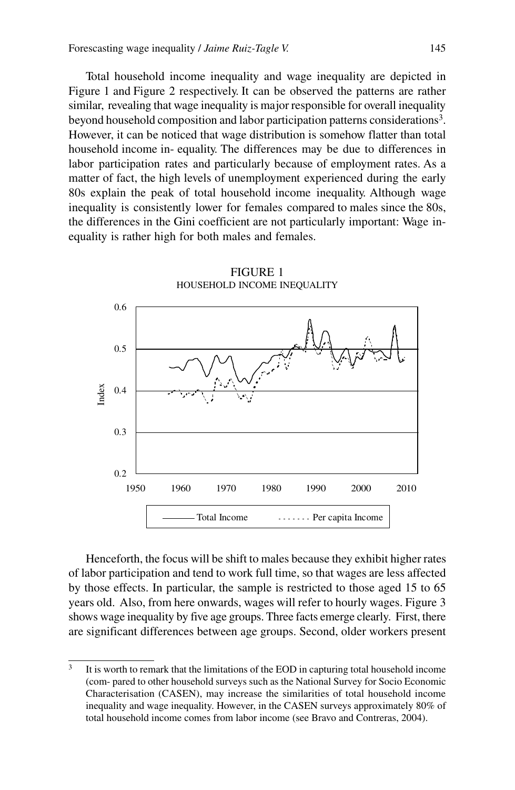Total household income inequality and wage inequality are depicted in Figure 1 and Figure 2 respectively. It can be observed the patterns are rather similar, revealing that wage inequality is major responsible for overall inequality beyond household composition and labor participation patterns considerations<sup>3</sup>. However, it can be noticed that wage distribution is somehow flatter than total household income in- equality. The differences may be due to differences in labor participation rates and particularly because of employment rates. As a matter of fact, the high levels of unemployment experienced during the early 80s explain the peak of total household income inequality. Although wage inequality is consistently lower for females compared to males since the 80s, the differences in the Gini coefficient are not particularly important: Wage inequality is rather high for both males and females.



Henceforth, the focus will be shift to males because they exhibit higher rates of labor participation and tend to work full time, so that wages are less affected by those effects. In particular, the sample is restricted to those aged 15 to 65 years old. Also, from here onwards, wages will refer to hourly wages. Figure 3 shows wage inequality by five age groups. Three facts emerge clearly. First, there are significant differences between age groups. Second, older workers present

<sup>&</sup>lt;sup>3</sup> It is worth to remark that the limitations of the EOD in capturing total household income (com- pared to other household surveys such as the National Survey for Socio Economic Characterisation (CASEN), may increase the similarities of total household income inequality and wage inequality. However, in the CASEN surveys approximately 80% of total household income comes from labor income (see Bravo and Contreras, 2004).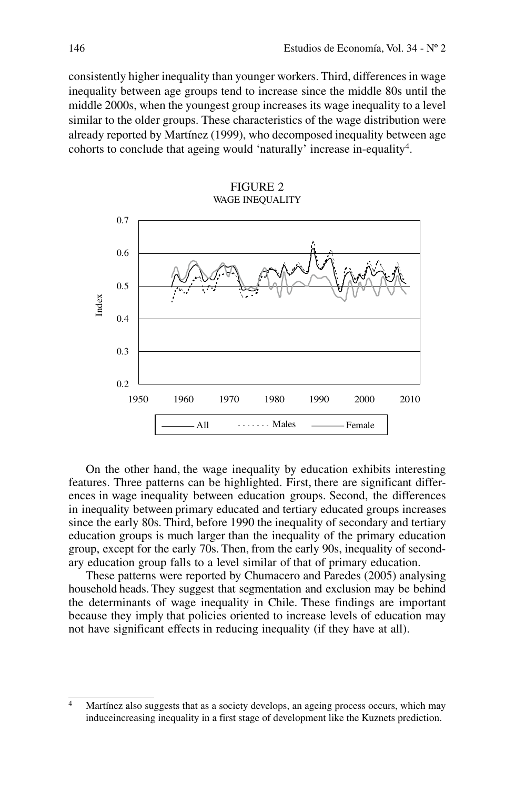consistently higher inequality than younger workers. Third, differences in wage inequality between age groups tend to increase since the middle 80s until the middle 2000s, when the youngest group increases its wage inequality to a level similar to the older groups. These characteristics of the wage distribution were already reported by Martínez (1999), who decomposed inequality between age cohorts to conclude that ageing would 'naturally' increase in-equality4.





On the other hand, the wage inequality by education exhibits interesting features. Three patterns can be highlighted. First, there are significant differences in wage inequality between education groups. Second, the differences in inequality between primary educated and tertiary educated groups increases since the early 80s. Third, before 1990 the inequality of secondary and tertiary education groups is much larger than the inequality of the primary education group, except for the early 70s. Then, from the early 90s, inequality of secondary education group falls to a level similar of that of primary education.

These patterns were reported by Chumacero and Paredes (2005) analysing household heads. They suggest that segmentation and exclusion may be behind the determinants of wage inequality in Chile. These findings are important because they imply that policies oriented to increase levels of education may not have significant effects in reducing inequality (if they have at all).

<sup>&</sup>lt;sup>4</sup> Martínez also suggests that as a society develops, an ageing process occurs, which may induceincreasing inequality in a first stage of development like the Kuznets prediction.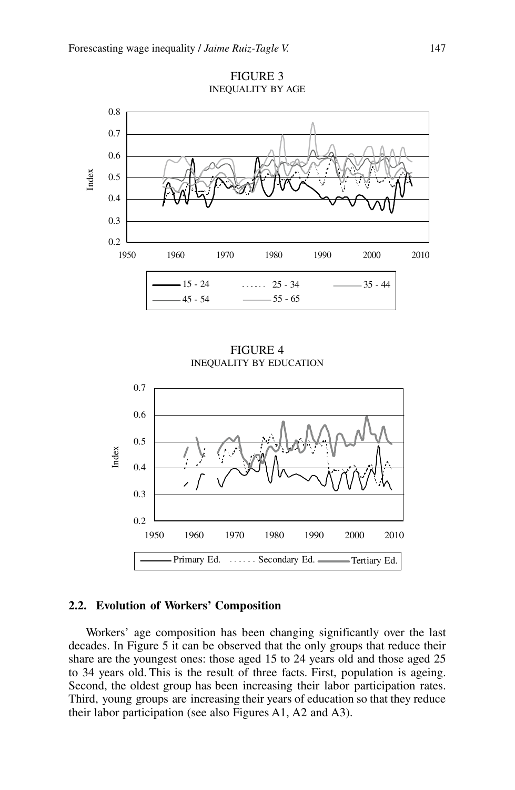

FIGURE 3 Inequality by Age

Figure 4 Inequality by Education



# **2.2. Evolution of Workers' Composition**

Workers' age composition has been changing significantly over the last decades. In Figure 5 it can be observed that the only groups that reduce their share are the youngest ones: those aged 15 to 24 years old and those aged 25 to 34 years old. This is the result of three facts. First, population is ageing. Second, the oldest group has been increasing their labor participation rates. Third, young groups are increasing their years of education so that they reduce their labor participation (see also Figures A1, A2 and A3).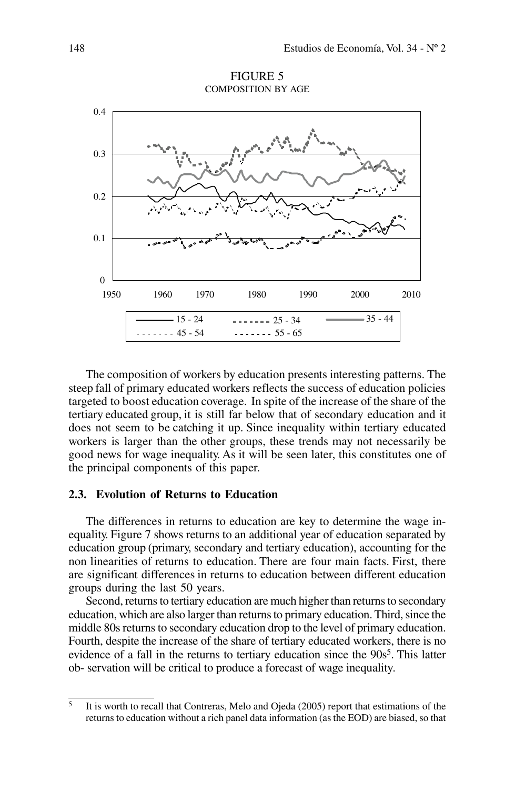

FIGURE 5 Composition by Age

The composition of workers by education presents interesting patterns. The steep fall of primary educated workers reflects the success of education policies targeted to boost education coverage. In spite of the increase of the share of the tertiary educated group, it is still far below that of secondary education and it does not seem to be catching it up. Since inequality within tertiary educated workers is larger than the other groups, these trends may not necessarily be good news for wage inequality. As it will be seen later, this constitutes one of the principal components of this paper.

## **2.3. Evolution of Returns to Education**

The differences in returns to education are key to determine the wage inequality. Figure 7 shows returns to an additional year of education separated by education group (primary, secondary and tertiary education), accounting for the non linearities of returns to education. There are four main facts. First, there are significant differences in returns to education between different education groups during the last 50 years.

Second, returns to tertiary education are much higher than returns to secondary education, which are also larger than returns to primary education. Third, since the middle 80s returns to secondary education drop to the level of primary education. Fourth, despite the increase of the share of tertiary educated workers, there is no evidence of a fall in the returns to tertiary education since the  $90s<sup>5</sup>$ . This latter ob- servation will be critical to produce a forecast of wage inequality.

 $\overline{5}$  It is worth to recall that Contreras, Melo and Ojeda (2005) report that estimations of the returns to education without a rich panel data information (as the EOD) are biased, so that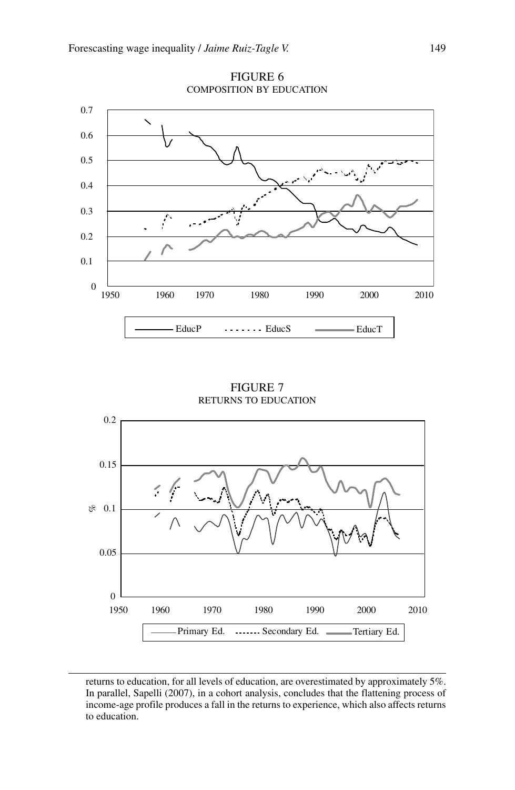

Figure 6 Composition by Education

FIGURE 7 Returns to Education



returns to education, for all levels of education, are overestimated by approximately 5%. In parallel, Sapelli (2007), in a cohort analysis, concludes that the flattening process of income-age profile produces a fall in the returns to experience, which also affects returns to education.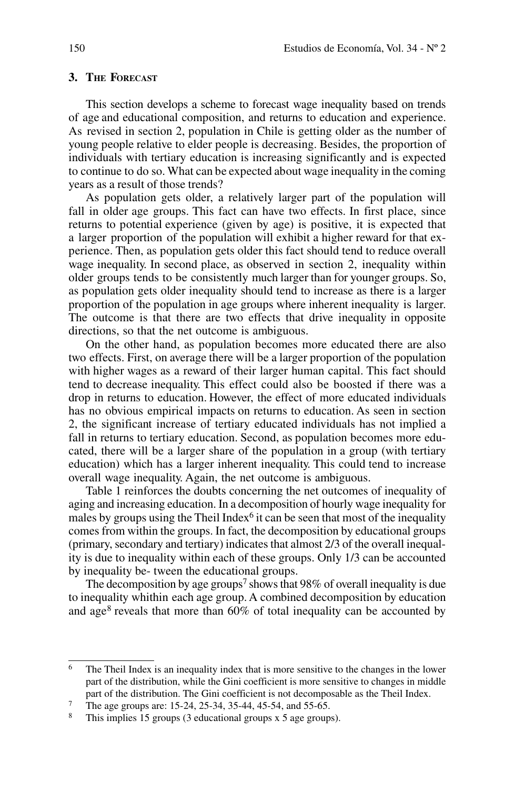# **3. The Forecast**

This section develops a scheme to forecast wage inequality based on trends of age and educational composition, and returns to education and experience. As revised in section 2, population in Chile is getting older as the number of young people relative to elder people is decreasing. Besides, the proportion of individuals with tertiary education is increasing significantly and is expected to continue to do so. What can be expected about wage inequality in the coming years as a result of those trends?

As population gets older, a relatively larger part of the population will fall in older age groups. This fact can have two effects. In first place, since returns to potential experience (given by age) is positive, it is expected that a larger proportion of the population will exhibit a higher reward for that experience. Then, as population gets older this fact should tend to reduce overall wage inequality. In second place, as observed in section 2, inequality within older groups tends to be consistently much larger than for younger groups. So, as population gets older inequality should tend to increase as there is a larger proportion of the population in age groups where inherent inequality is larger. The outcome is that there are two effects that drive inequality in opposite directions, so that the net outcome is ambiguous.

On the other hand, as population becomes more educated there are also two effects. First, on average there will be a larger proportion of the population with higher wages as a reward of their larger human capital. This fact should tend to decrease inequality. This effect could also be boosted if there was a drop in returns to education. However, the effect of more educated individuals has no obvious empirical impacts on returns to education. As seen in section 2, the significant increase of tertiary educated individuals has not implied a fall in returns to tertiary education. Second, as population becomes more educated, there will be a larger share of the population in a group (with tertiary education) which has a larger inherent inequality. This could tend to increase overall wage inequality. Again, the net outcome is ambiguous.

Table 1 reinforces the doubts concerning the net outcomes of inequality of aging and increasing education. In a decomposition of hourly wage inequality for males by groups using the Theil Index<sup>6</sup> it can be seen that most of the inequality comes from within the groups. In fact, the decomposition by educational groups (primary, secondary and tertiary) indicates that almost 2/3 of the overall inequality is due to inequality within each of these groups. Only 1/3 can be accounted by inequality be- tween the educational groups.

The decomposition by age groups<sup>7</sup> shows that 98% of overall inequality is due to inequality whithin each age group. A combined decomposition by education and age<sup>8</sup> reveals that more than  $60\%$  of total inequality can be accounted by

<sup>6</sup> The Theil Index is an inequality index that is more sensitive to the changes in the lower part of the distribution, while the Gini coefficient is more sensitive to changes in middle part of the distribution. The Gini coefficient is not decomposable as the Theil Index.

<sup>&</sup>lt;sup>7</sup> The age groups are: 15-24, 25-34, 35-44, 45-54, and 55-65.

This implies 15 groups (3 educational groups x 5 age groups).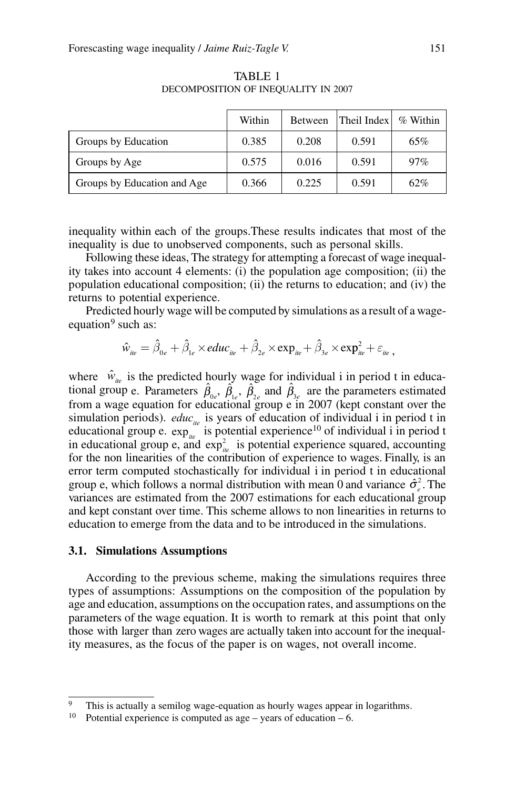|                             | Within | Between | Theil Index | % Within |
|-----------------------------|--------|---------|-------------|----------|
| Groups by Education         | 0.385  | 0.208   | 0.591       | 65%      |
| Groups by Age               | 0.575  | 0.016   | 0.591       | 97%      |
| Groups by Education and Age | 0.366  | 0.225   | 0.591       | 62%      |

TABLE 1 DECOMPOSITION OF INEQUALITY IN 2007

inequality within each of the groups.These results indicates that most of the inequality is due to unobserved components, such as personal skills.

Following these ideas, The strategy for attempting a forecast of wage inequality takes into account 4 elements: (i) the population age composition; (ii) the population educational composition; (ii) the returns to education; and (iv) the returns to potential experience.

Predicted hourly wage will be computed by simulations as a result of a wageequation $9$  such as:

 $\hat{w}_{_{ile}}=\hat{\beta}_{_{0e}}+\hat{\beta}_{_{1e}}\times educ_{_{ite}}+\hat{\beta}_{_{2e}}\times \exp_{_{ite}}+\hat{\beta}_{_{3e}}\times \exp_{_{ite}}^{2}+\varepsilon_{_{ite}},$ 

where  $\hat{w}_{i\omega}$  is the predicted hourly wage for individual i in period t in educational group e. Parameters  $\hat{\beta}_{0e}$ ,  $\hat{\beta}_{1e}$ ,  $\hat{\beta}_{2e}$  and  $\hat{\beta}_{3e}$  are the parameters estimated from a wage equation for educational group e in 2007 (kept constant over the simulation periods).  $educ_{i\omega}$  is years of education of individual i in period t in educational group e.  $\exp_{i\theta}^{i\theta}$  is potential experience<sup>10</sup> of individual i in period t in educational group e, and  $exp_{iee}^2$  is potential experience squared, accounting for the non linearities of the contribution of experience to wages. Finally, is an error term computed stochastically for individual i in period t in educational group e, which follows a normal distribution with mean 0 and variance  $\hat{\sigma}_{e}^{2}$ . The variances are estimated from the 2007 estimations for each educational group and kept constant over time. This scheme allows to non linearities in returns to education to emerge from the data and to be introduced in the simulations.

#### **3.1. Simulations Assumptions**

According to the previous scheme, making the simulations requires three types of assumptions: Assumptions on the composition of the population by age and education, assumptions on the occupation rates, and assumptions on the parameters of the wage equation. It is worth to remark at this point that only those with larger than zero wages are actually taken into account for the inequality measures, as the focus of the paper is on wages, not overall income.

<sup>&</sup>lt;sup>9</sup> This is actually a semilog wage-equation as hourly wages appear in logarithms.

<sup>&</sup>lt;sup>10</sup> Potential experience is computed as age – years of education – 6.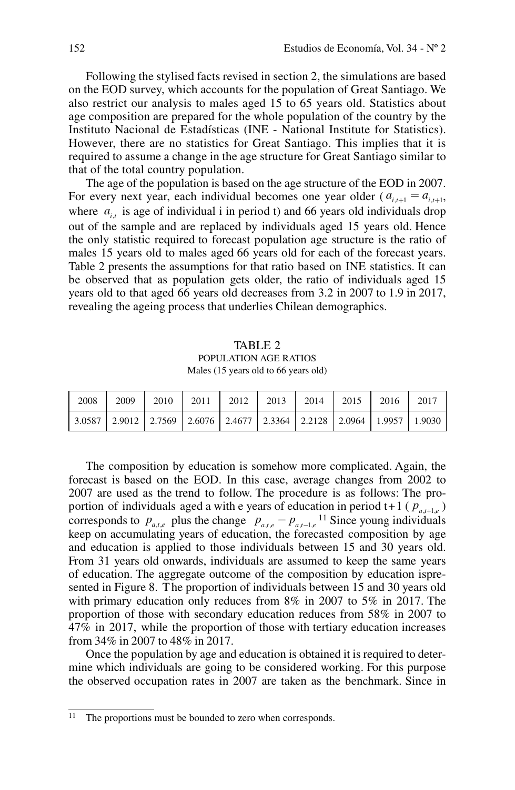Following the stylised facts revised in section 2, the simulations are based on the EOD survey, which accounts for the population of Great Santiago. We also restrict our analysis to males aged 15 to 65 years old. Statistics about age composition are prepared for the whole population of the country by the Instituto Nacional de Estadísticas (INE - National Institute for Statistics). However, there are no statistics for Great Santiago. This implies that it is required to assume a change in the age structure for Great Santiago similar to that of the total country population.

The age of the population is based on the age structure of the EOD in 2007. For every next year, each individual becomes one year older ( $a_{i+1} = a_{i+1}$ , where  $a_{i}$ , is age of individual i in period t) and 66 years old individuals drop out of the sample and are replaced by individuals aged 15 years old. Hence the only statistic required to forecast population age structure is the ratio of males 15 years old to males aged 66 years old for each of the forecast years. Table 2 presents the assumptions for that ratio based on INE statistics. It can be observed that as population gets older, the ratio of individuals aged 15 years old to that aged 66 years old decreases from 3.2 in 2007 to 1.9 in 2017, revealing the ageing process that underlies Chilean demographics.

TABLE 2 Population Age Ratios Males (15 years old to 66 years old)

| 2008 i |  | 2009   2010   2011   2012   2013   2014   2015   2016   2017                                                                                          |  |  |  |
|--------|--|-------------------------------------------------------------------------------------------------------------------------------------------------------|--|--|--|
|        |  | $\vert$ 3.0587 $\vert$ 2.9012 $\vert$ 2.7569 $\vert$ 2.6076 $\vert$ 2.4677 $\vert$ 2.3364 $\vert$ 2.2128 $\vert$ 2.0964 $\vert$ 1.9957 $\vert$ 1.9030 |  |  |  |

The composition by education is somehow more complicated. Again, the forecast is based on the EOD. In this case, average changes from 2002 to 2007 are used as the trend to follow. The procedure is as follows: The proportion of individuals aged a with e years of education in period t+1 ( $p_{a,t+1,e}$ ) corresponds to  $p_{a,t,e}$  plus the change  $p_{a,t,e} - p_{a,t-e}$ <sup>11</sup> Since young individuals keep on accumulating years of education, the forecasted composition by age and education is applied to those individuals between 15 and 30 years old. From 31 years old onwards, individuals are assumed to keep the same years of education. The aggregate outcome of the composition by education ispresented in Figure 8. T he proportion of individuals between 15 and 30 years old with primary education only reduces from 8% in 2007 to 5% in 2017. The proportion of those with secondary education reduces from 58% in 2007 to 47% in 2017, while the proportion of those with tertiary education increases from 34% in 2007 to 48% in 2017.

Once the population by age and education is obtained it is required to determine which individuals are going to be considered working. For this purpose the observed occupation rates in 2007 are taken as the benchmark. Since in

The proportions must be bounded to zero when corresponds.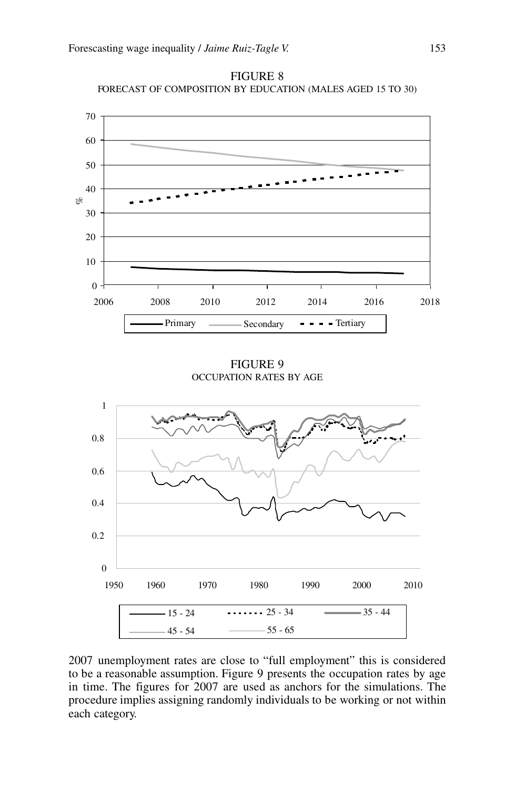

Figure 8 Forecast of Composition by Education (Males aged 15 to 30)

FIGURE 9 Occupation Rates by Age



2007 unemployment rates are close to "full employment" this is considered to be a reasonable assumption. Figure 9 presents the occupation rates by age in time. The figures for 2007 are used as anchors for the simulations. The procedure implies assigning randomly individuals to be working or not within each category.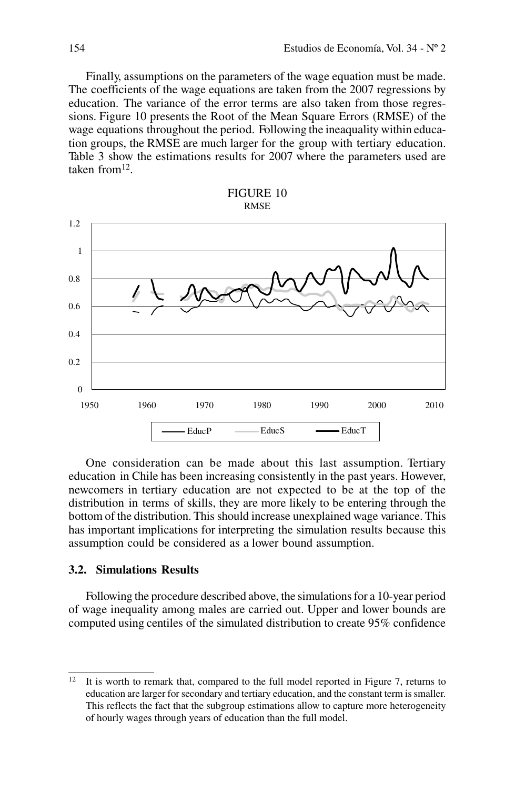Finally, assumptions on the parameters of the wage equation must be made. The coefficients of the wage equations are taken from the 2007 regressions by education. The variance of the error terms are also taken from those regressions. Figure 10 presents the Root of the Mean Square Errors (RMSE) of the wage equations throughout the period. Following the ineaquality within education groups, the RMSE are much larger for the group with tertiary education. Table 3 show the estimations results for 2007 where the parameters used are taken from12.





One consideration can be made about this last assumption. Tertiary education in Chile has been increasing consistently in the past years. However, newcomers in tertiary education are not expected to be at the top of the distribution in terms of skills, they are more likely to be entering through the bottom of the distribution. This should increase unexplained wage variance. This has important implications for interpreting the simulation results because this assumption could be considered as a lower bound assumption.

# **3.2. Simulations Results**

Following the procedure described above, the simulations for a 10-year period of wage inequality among males are carried out. Upper and lower bounds are computed using centiles of the simulated distribution to create 95% confidence

 $12$  It is worth to remark that, compared to the full model reported in Figure 7, returns to education are larger for secondary and tertiary education, and the constant term is smaller. This reflects the fact that the subgroup estimations allow to capture more heterogeneity of hourly wages through years of education than the full model.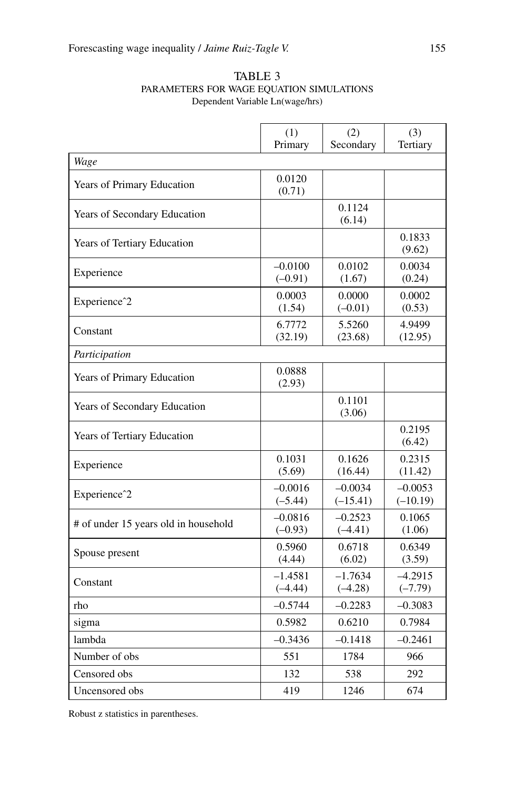|                                      | (1)                    | (3)                     |                         |
|--------------------------------------|------------------------|-------------------------|-------------------------|
|                                      | Primary                | Secondary               | Tertiary                |
| Wage                                 |                        |                         |                         |
| Years of Primary Education           | 0.0120<br>(0.71)       |                         |                         |
| Years of Secondary Education         |                        | 0.1124<br>(6.14)        |                         |
| Years of Tertiary Education          |                        |                         | 0.1833<br>(9.62)        |
| Experience                           | $-0.0100$<br>$(-0.91)$ | 0.0102<br>(1.67)        | 0.0034<br>(0.24)        |
| Experience <sup>2</sup>              | 0.0003<br>(1.54)       | 0.0000<br>$(-0.01)$     | 0.0002<br>(0.53)        |
| Constant                             | 6.7772<br>(32.19)      | 5.5260<br>(23.68)       | 4.9499<br>(12.95)       |
| Participation                        |                        |                         |                         |
| Years of Primary Education           | 0.0888<br>(2.93)       |                         |                         |
| Years of Secondary Education         |                        | 0.1101<br>(3.06)        |                         |
| Years of Tertiary Education          |                        |                         | 0.2195<br>(6.42)        |
| Experience                           | 0.1031<br>(5.69)       | 0.1626<br>(16.44)       | 0.2315<br>(11.42)       |
| Experience <sup>2</sup>              | $-0.0016$<br>$(-5.44)$ | $-0.0034$<br>$(-15.41)$ | $-0.0053$<br>$(-10.19)$ |
| # of under 15 years old in household | $-0.0816$<br>$(-0.93)$ | $-0.2523$<br>$(-4.41)$  | 0.1065<br>(1.06)        |
| Spouse present                       | 0.5960<br>(4.44)       | 0.6718<br>(6.02)        | 0.6349<br>(3.59)        |
| Constant                             | $-1.4581$<br>$(-4.44)$ | $-1.7634$<br>$(-4.28)$  | $-4.2915$<br>$(-7.79)$  |
| rho                                  | $-0.5744$              | $-0.2283$               | $-0.3083$               |
| sigma                                | 0.5982                 | 0.6210                  | 0.7984                  |
| lambda                               | $-0.3436$              | $-0.1418$               | $-0.2461$               |
| Number of obs                        | 551                    | 1784                    | 966                     |
| Censored obs                         | 132                    | 538                     | 292                     |
| Uncensored obs                       | 419                    | 1246                    | 674                     |

## TABLE 3 Parameters for Wage Equation Simulations Dependent Variable Ln(wage/hrs)

Robust z statistics in parentheses.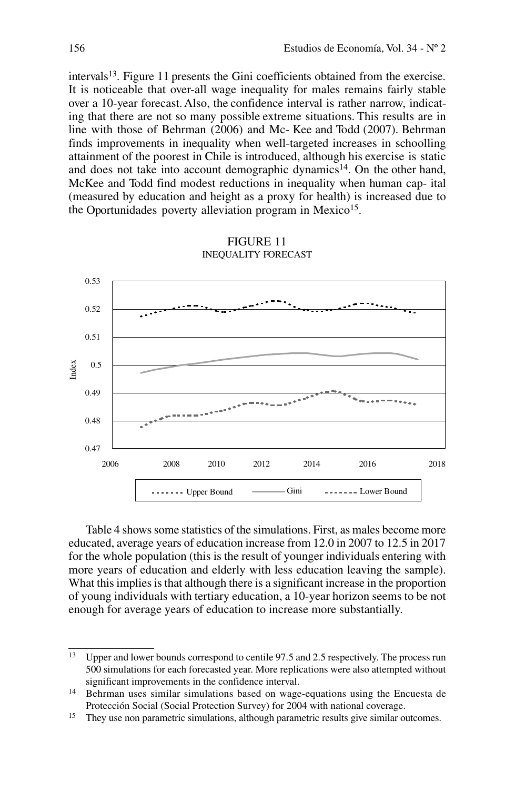intervals<sup>13</sup>. Figure 11 presents the Gini coefficients obtained from the exercise. It is noticeable that over-all wage inequality for males remains fairly stable over a 10-year forecast. Also, the confidence interval is rather narrow, indicating that there are not so many possible extreme situations. This results are in line with those of Behrman (2006) and Mc- Kee and Todd (2007). Behrman finds improvements in inequality when well-targeted increases in schoolling attainment of the poorest in Chile is introduced, although his exercise is static and does not take into account demographic dynamics<sup>14</sup>. On the other hand, McKee and Todd find modest reductions in inequality when human cap- ital (measured by education and height as a proxy for health) is increased due to the Oportunidades poverty alleviation program in Mexico<sup>15</sup>.



FIGURE 11 Inequality Forecast

Table 4 shows some statistics of the simulations. First, as males become more educated, average years of education increase from 12.0 in 2007 to 12.5 in 2017 for the whole population (this is the result of younger individuals entering with more years of education and elderly with less education leaving the sample). What this implies is that although there is a significant increase in the proportion of young individuals with tertiary education, a 10-year horizon seems to be not enough for average years of education to increase more substantially.

<sup>13</sup> Upper and lower bounds correspond to centile 97.5 and 2.5 respectively. The process run 500 simulations for each forecasted year. More replications were also attempted without significant improvements in the confidence interval.

<sup>&</sup>lt;sup>14</sup> Behrman uses similar simulations based on wage-equations using the Encuesta de Protección Social (Social Protection Survey) for 2004 with national coverage.

<sup>&</sup>lt;sup>15</sup> They use non parametric simulations, although parametric results give similar outcomes.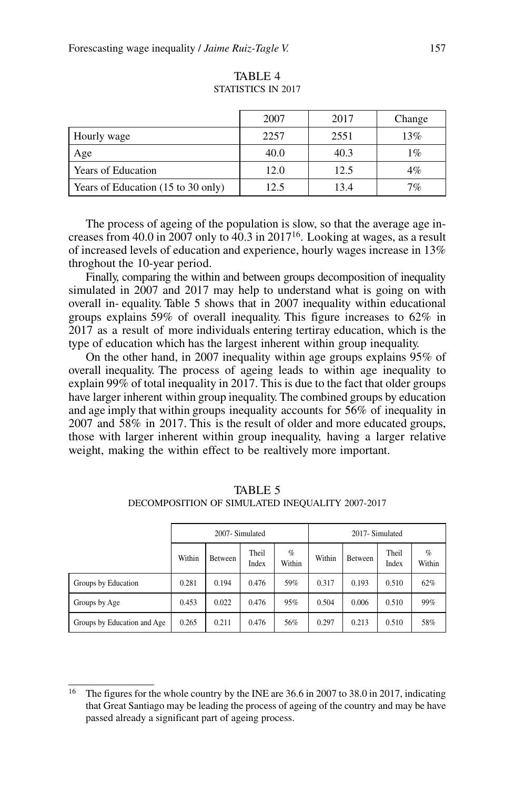|                                    | 2007 | 2017 | Change |
|------------------------------------|------|------|--------|
| Hourly wage                        | 2257 | 2551 | 13%    |
| Age                                | 40.0 | 40.3 | $1\%$  |
| Years of Education                 | 12.0 | 12.5 | $4\%$  |
| Years of Education (15 to 30 only) | 12.5 | 13.4 | 7%     |

TABLE 4 STATISTICS IN 2017

The process of ageing of the population is slow, so that the average age increases from 40.0 in 2007 only to 40.3 in 201716. Looking at wages, as a result of increased levels of education and experience, hourly wages increase in 13% throghout the 10-year period.

Finally, comparing the within and between groups decomposition of inequality simulated in 2007 and 2017 may help to understand what is going on with overall in- equality. Table 5 shows that in 2007 inequality within educational groups explains 59% of overall inequality. This figure increases to 62% in 2017 as a result of more individuals entering tertiray education, which is the type of education which has the largest inherent within group inequality.

On the other hand, in 2007 inequality within age groups explains 95% of overall inequality. The process of ageing leads to within age inequality to explain 99% of total inequality in 2017. This is due to the fact that older groups have larger inherent within group inequality. The combined groups by education and age imply that within groups inequality accounts for 56% of inequality in 2007 and 58% in 2017. This is the result of older and more educated groups, those with larger inherent within group inequality, having a larger relative weight, making the within effect to be realtively more important.

|                             | 2007-Simulated |         |                |                | 2017-Simulated |         |                |                |
|-----------------------------|----------------|---------|----------------|----------------|----------------|---------|----------------|----------------|
|                             | Within         | Between | Theil<br>Index | $\%$<br>Within | Within         | Between | Theil<br>Index | $\%$<br>Within |
| Groups by Education         | 0.281          | 0.194   | 0.476          | 59%            | 0.317          | 0.193   | 0.510          | 62%            |
| Groups by Age               | 0.453          | 0.022   | 0.476          | 95%            | 0.504          | 0.006   | 0.510          | 99%            |
| Groups by Education and Age | 0.265          | 0.211   | 0.476          | 56%            | 0.297          | 0.213   | 0.510          | 58%            |

TABLE 5 Decomposition of Simulated Inequality 2007-2017

<sup>16</sup> The figures for the whole country by the INE are 36.6 in 2007 to 38.0 in 2017, indicating that Great Santiago may be leading the process of ageing of the country and may be have passed already a significant part of ageing process.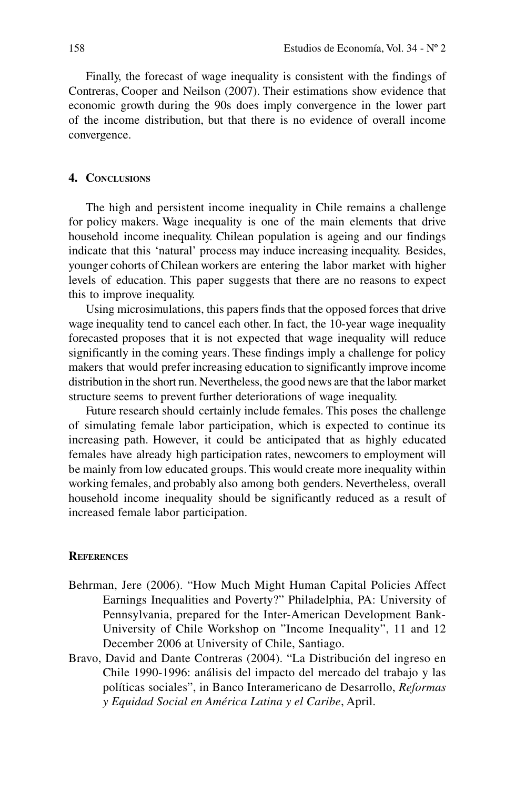Finally, the forecast of wage inequality is consistent with the findings of Contreras, Cooper and Neilson (2007). Their estimations show evidence that economic growth during the 90s does imply convergence in the lower part of the income distribution, but that there is no evidence of overall income convergence.

## **4. Conclusions**

The high and persistent income inequality in Chile remains a challenge for policy makers. Wage inequality is one of the main elements that drive household income inequality. Chilean population is ageing and our findings indicate that this 'natural' process may induce increasing inequality. Besides, younger cohorts of Chilean workers are entering the labor market with higher levels of education. This paper suggests that there are no reasons to expect this to improve inequality.

Using microsimulations, this papers finds that the opposed forces that drive wage inequality tend to cancel each other. In fact, the 10-year wage inequality forecasted proposes that it is not expected that wage inequality will reduce significantly in the coming years. These findings imply a challenge for policy makers that would prefer increasing education to significantly improve income distribution in the short run. Nevertheless, the good news are that the labor market structure seems to prevent further deteriorations of wage inequality.

Future research should certainly include females. This poses the challenge of simulating female labor participation, which is expected to continue its increasing path. However, it could be anticipated that as highly educated females have already high participation rates, newcomers to employment will be mainly from low educated groups. This would create more inequality within working females, and probably also among both genders. Nevertheless, overall household income inequality should be significantly reduced as a result of increased female labor participation.

## **References**

- Behrman, Jere (2006). "How Much Might Human Capital Policies Affect Earnings Inequalities and Poverty?" Philadelphia, PA: University of Pennsylvania, prepared for the Inter-American Development Bank-University of Chile Workshop on "Income Inequality", 11 and 12 December 2006 at University of Chile, Santiago.
- Bravo, David and Dante Contreras (2004). "La Distribución del ingreso en Chile 1990-1996: análisis del impacto del mercado del trabajo y las políticas sociales", in Banco Interamericano de Desarrollo, *Reformas y Equidad Social en América Latina y el Caribe*, April.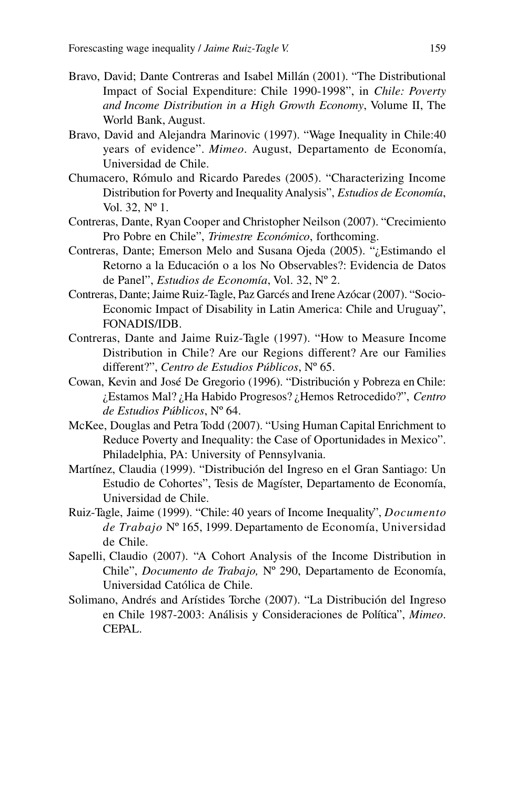- Bravo, David; Dante Contreras and Isabel Millán (2001). "The Distributional Impact of Social Expenditure: Chile 1990-1998", in *Chile: Poverty and Income Distribution in a High Growth Economy*, Volume II, The World Bank, August.
- Bravo, David and Alejandra Marinovic (1997). "Wage Inequality in Chile:40 years of evidence". *Mimeo*. August, Departamento de Economía, Universidad de Chile.
- Chumacero, Rómulo and Ricardo Paredes (2005). "Characterizing Income Distribution for Poverty and Inequality Analysis", *Estudios de Economía*, Vol. 32, Nº 1.
- Contreras, Dante, Ryan Cooper and Christopher Neilson (2007). "Crecimiento Pro Pobre en Chile", *Trimestre Económico*, forthcoming.
- Contreras, Dante; Emerson Melo and Susana Ojeda (2005). "¿Estimando el Retorno a la Educación o a los No Observables?: Evidencia de Datos de Panel", *Estudios de Economía*, Vol. 32, Nº 2.
- Contreras, Dante; Jaime Ruiz-Tagle, Paz Garcés and Irene Azócar (2007). "Socio-Economic Impact of Disability in Latin America: Chile and Uruguay", FONADIS/IDB.
- Contreras, Dante and Jaime Ruiz-Tagle (1997). "How to Measure Income Distribution in Chile? Are our Regions different? Are our Families different?", *Centro de Estudios Públicos*, Nº 65.
- Cowan, Kevin and José De Gregorio (1996). "Distribución y Pobreza en Chile: ¿Estamos Mal? ¿Ha Habido Progresos? ¿Hemos Retrocedido?", *Centro de Estudios Públicos*, Nº 64.
- McKee, Douglas and Petra Todd (2007). "Using Human Capital Enrichment to Reduce Poverty and Inequality: the Case of Oportunidades in Mexico". Philadelphia, PA: University of Pennsylvania.
- Martínez, Claudia (1999). "Distribución del Ingreso en el Gran Santiago: Un Estudio de Cohortes", Tesis de Magíster, Departamento de Economía, Universidad de Chile.
- Ruiz-Tagle, Jaime (1999). "Chile: 40 years of Income Inequality", *Documento de Trabajo* Nº 165, 1999. Departamento de Economía, Universidad de Chile.
- Sapelli, Claudio (2007). "A Cohort Analysis of the Income Distribution in Chile", *Documento de Trabajo,* Nº 290, Departamento de Economía, Universidad Católica de Chile.
- Solimano, Andrés and Arístides Torche (2007). "La Distribución del Ingreso en Chile 1987-2003: Análisis y Consideraciones de Política", *Mimeo*. CEPAL.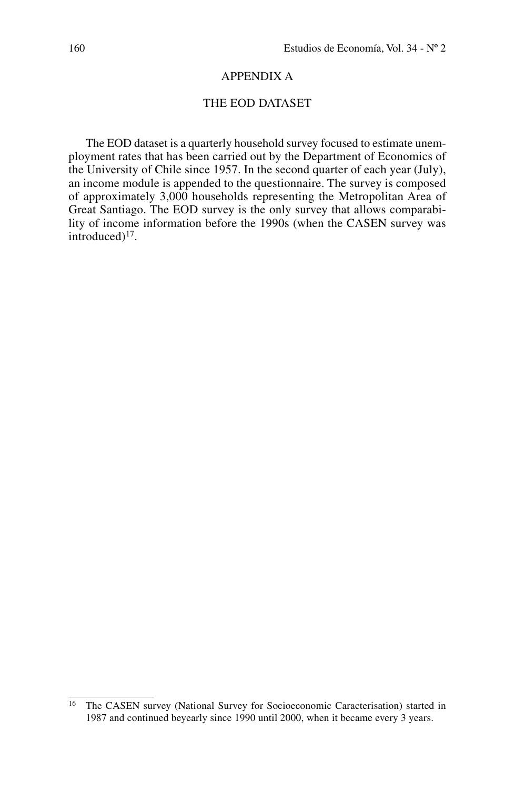## Appendix A

## THE EOD DATASET

The EOD dataset is a quarterly household survey focused to estimate unemployment rates that has been carried out by the Department of Economics of the University of Chile since 1957. In the second quarter of each year (July), an income module is appended to the questionnaire. The survey is composed of approximately 3,000 households representing the Metropolitan Area of Great Santiago. The EOD survey is the only survey that allows comparability of income information before the 1990s (when the CASEN survey was introduced)<sup>17</sup>.

<sup>16</sup> The CASEN survey (National Survey for Socioeconomic Caracterisation) started in 1987 and continued beyearly since 1990 until 2000, when it became every 3 years.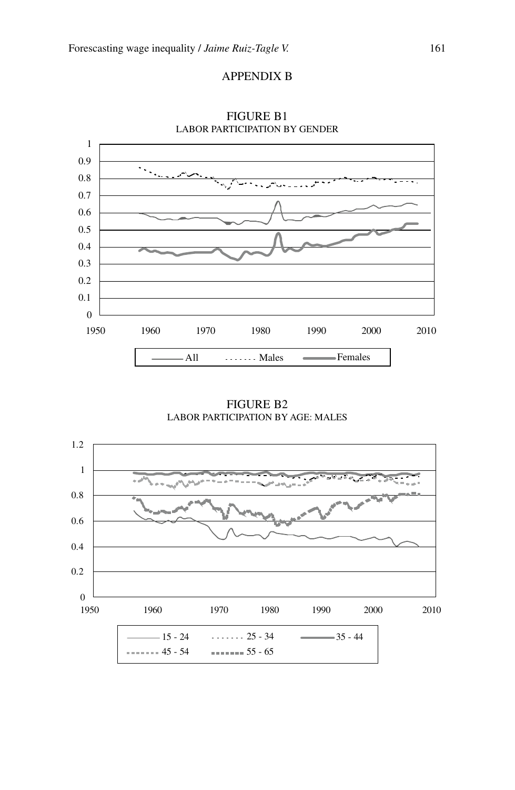



Figure B1 labor participation by gender

Figure B2 labor participation by age: males